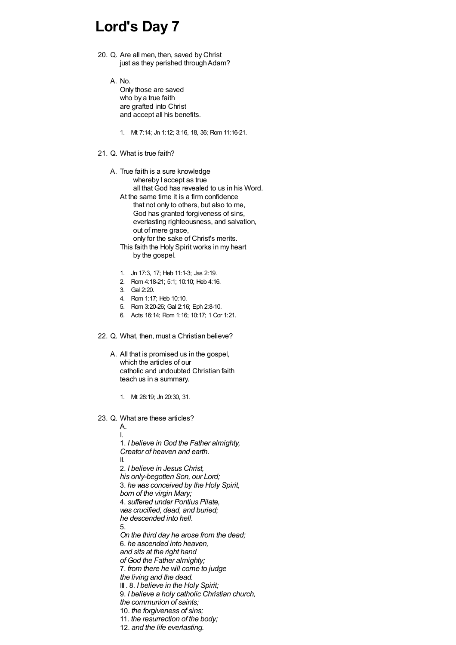## **Lord's Day 7**

- 20. Q. Are all men, then, saved by Christ just as they perished through Adam?
	- A. No.

Only those are saved who by a true faith are grafted into Christ and accept all his benefits.

1. Mt 7:14; Jn 1:12; 3:16, 18, 36; Rom 11:16-21.

## 21. Q. What is true faith?

- A. True faith is a sure knowledge whereby I accept as true all that God has revealed to us in his Word. At the same time it is a firm confidence that not only to others, but also to me, God has granted forgiveness of sins, everlasting righteousness, and salvation, out of mere grace, only for the sake of Christ's merits.
	- This faith the Holy Spirit works in my heart by the gospel.
	- 1. Jn 17:3, 17; Heb 11:1-3; Jas 2:19.
	- 2. Rom 4:18-21; 5:1; 10:10; Heb 4:16.
	- 3. Gal 2:20.
	- 4. Rom 1:17; Heb 10:10.
	- 5. Rom 3:20-26; Gal 2:16; Eph 2:8-10.
	- 6. Acts 16:14; Rom 1:16; 10:17; 1 Cor 1:21.

## 22. Q. What, then, must a Christian believe?

- A. All that is promised us in the gospel, which the articles of our catholic and undoubted Christian faith teach us in a summary.
	- 1. Mt 28:19; Jn 20:30, 31.
- 23. Q. What are these articles?

A. I. 1. *I believe in God the Father almighty, Creator of heaven and earth.* II. 2. *I believe in Jesus Christ, his only-begotten Son, our Lord;* 3. *he was conceived by the Holy Spirit, born of the virgin Mary;* 4. *suffered under Pontius Pilate, was crucified, dead, and buried; he descended into hell.* 5. *On the third day he arose from the dead;* 6. *he ascended into heaven, and sits at the right hand of God the Father almighty;* 7. *from there he will come to judge the living and the dead.* III . 8. *I believe in the Holy Spirit;* 9. *I believe a holy catholic Christian church, the communion of saints;* 10. *the forgiveness of sins;* 11. *the resurrection of the body;* 12. *and the life everlasting.*